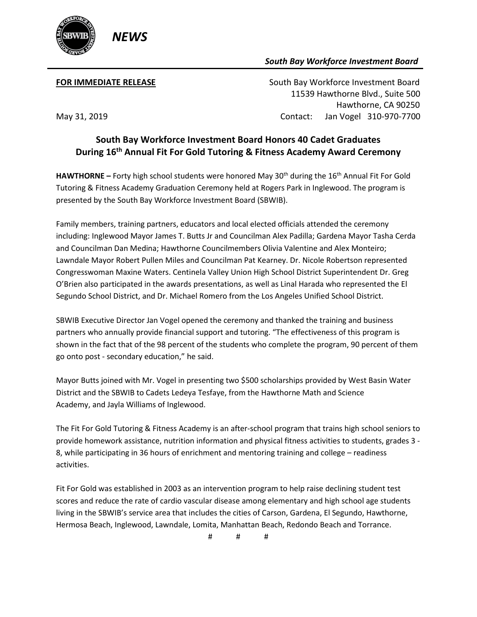

## *South Bay Workforce Investment Board*

**FOR IMMEDIATE RELEASE South Bay Workforce Investment Board**  11539 Hawthorne Blvd., Suite 500 Hawthorne, CA 90250 May 31, 2019 Contact: Jan Vogel 310-970-7700

## **South Bay Workforce Investment Board Honors 40 Cadet Graduates During 16th Annual Fit For Gold Tutoring & Fitness Academy Award Ceremony**

HAWTHORNE – Forty high school students were honored May 30<sup>th</sup> during the 16<sup>th</sup> Annual Fit For Gold Tutoring & Fitness Academy Graduation Ceremony held at Rogers Park in Inglewood. The program is presented by the South Bay Workforce Investment Board (SBWIB).

Family members, training partners, educators and local elected officials attended the ceremony including: Inglewood Mayor James T. Butts Jr and Councilman Alex Padilla; Gardena Mayor Tasha Cerda and Councilman Dan Medina; Hawthorne Councilmembers Olivia Valentine and Alex Monteiro; Lawndale Mayor Robert Pullen Miles and Councilman Pat Kearney. Dr. Nicole Robertson represented Congresswoman Maxine Waters. Centinela Valley Union High School District Superintendent Dr. Greg O'Brien also participated in the awards presentations, as well as Linal Harada who represented the El Segundo School District, and Dr. Michael Romero from the Los Angeles Unified School District.

SBWIB Executive Director Jan Vogel opened the ceremony and thanked the training and business partners who annually provide financial support and tutoring. "The effectiveness of this program is shown in the fact that of the 98 percent of the students who complete the program, 90 percent of them go onto post - secondary education," he said.

Mayor Butts joined with Mr. Vogel in presenting two \$500 scholarships provided by West Basin Water District and the SBWIB to Cadets Ledeya Tesfaye, from the Hawthorne Math and Science Academy, and Jayla Williams of Inglewood.

The Fit For Gold Tutoring & Fitness Academy is an after-school program that trains high school seniors to provide homework assistance, nutrition information and physical fitness activities to students, grades 3 - 8, while participating in 36 hours of enrichment and mentoring training and college – readiness activities.

Fit For Gold was established in 2003 as an intervention program to help raise declining student test scores and reduce the rate of cardio vascular disease among elementary and high school age students living in the SBWIB's service area that includes the cities of Carson, Gardena, El Segundo, Hawthorne, Hermosa Beach, Inglewood, Lawndale, Lomita, Manhattan Beach, Redondo Beach and Torrance.

# # #